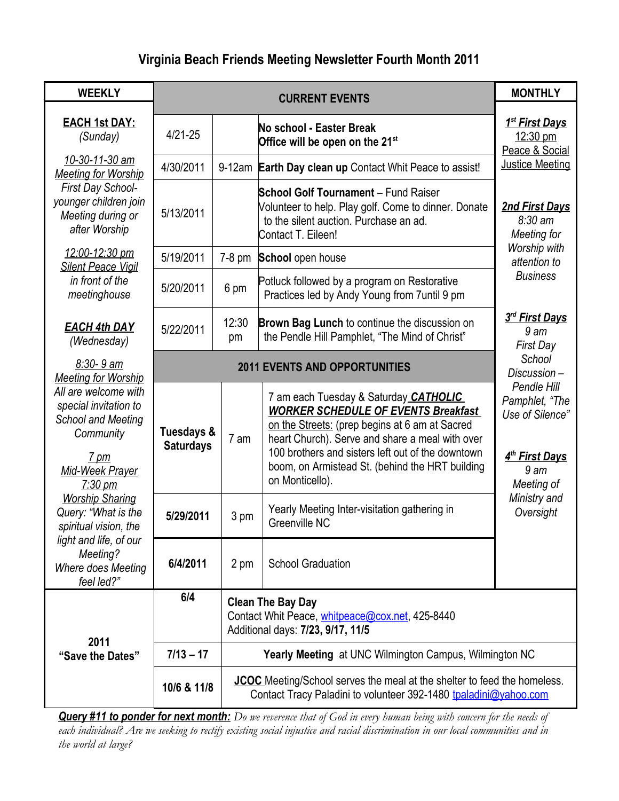## **Virginia Beach Friends Meeting Newsletter Fourth Month 2011**

| <b>WEEKLY</b>                                                                                                                                                                                                                                                                                                                              | <b>CURRENT EVENTS</b>                |             |                                                                                                                                                                                                                                                                                                                     | <b>MONTHLY</b>                                                                                                                               |
|--------------------------------------------------------------------------------------------------------------------------------------------------------------------------------------------------------------------------------------------------------------------------------------------------------------------------------------------|--------------------------------------|-------------|---------------------------------------------------------------------------------------------------------------------------------------------------------------------------------------------------------------------------------------------------------------------------------------------------------------------|----------------------------------------------------------------------------------------------------------------------------------------------|
| <b>EACH 1st DAY:</b><br>(Sunday)                                                                                                                                                                                                                                                                                                           | $4/21 - 25$                          |             | No school - Easter Break<br>Office will be open on the 21 <sup>st</sup>                                                                                                                                                                                                                                             | <u>1<sup>st</sup> First Days</u><br>12:30 pm<br>Peace & Social                                                                               |
| 10-30-11-30 am<br><b>Meeting for Worship</b><br>First Day School-<br>younger children join<br>Meeting during or<br>after Worship<br>12:00-12:30 pm<br><b>Silent Peace Vigil</b><br>in front of the<br>meetinghouse                                                                                                                         | 4/30/2011                            |             | 9-12am Earth Day clean up Contact Whit Peace to assist!                                                                                                                                                                                                                                                             | Justice Meeting<br>2nd First Days<br>$8:30 \text{ am}$<br>Meeting for<br>Worship with<br>attention to<br><b>Business</b>                     |
|                                                                                                                                                                                                                                                                                                                                            | 5/13/2011                            |             | <b>School Golf Tournament - Fund Raiser</b><br>Volunteer to help. Play golf. Come to dinner. Donate<br>to the silent auction. Purchase an ad.<br>Contact T. Eileen!                                                                                                                                                 |                                                                                                                                              |
|                                                                                                                                                                                                                                                                                                                                            | 5/19/2011                            | $7-8$ pm    | School open house                                                                                                                                                                                                                                                                                                   |                                                                                                                                              |
|                                                                                                                                                                                                                                                                                                                                            | 5/20/2011                            | 6 pm        | Potluck followed by a program on Restorative<br>Practices led by Andy Young from 7until 9 pm                                                                                                                                                                                                                        |                                                                                                                                              |
| <b>EACH 4th DAY</b><br>(Wednesday)                                                                                                                                                                                                                                                                                                         | 5/22/2011                            | 12:30<br>pm | Brown Bag Lunch to continue the discussion on<br>the Pendle Hill Pamphlet, "The Mind of Christ"                                                                                                                                                                                                                     | 3rd First Days<br>9 <sub>am</sub><br><b>First Day</b>                                                                                        |
| $8:30 - 9$ am<br><b>Meeting for Worship</b><br>All are welcome with<br>special invitation to<br>School and Meeting<br>Community<br>$7 \text{ pm}$<br>Mid-Week Prayer<br><u>7:30 pm</u><br><b>Worship Sharing</b><br>Query: "What is the<br>spiritual vision, the<br>light and life, of our<br>Meeting?<br>Where does Meeting<br>feel led?" | <b>2011 EVENTS AND OPPORTUNITIES</b> |             |                                                                                                                                                                                                                                                                                                                     | School<br>Discussion-                                                                                                                        |
|                                                                                                                                                                                                                                                                                                                                            | Tuesdays &<br><b>Saturdays</b>       | 7 am        | 7 am each Tuesday & Saturday CATHOLIC<br><b>WORKER SCHEDULE OF EVENTS Breakfast</b><br>on the Streets: (prep begins at 6 am at Sacred<br>heart Church). Serve and share a meal with over<br>100 brothers and sisters left out of the downtown<br>boom, on Armistead St. (behind the HRT building<br>on Monticello). | Pendle Hill<br>Pamphlet, "The<br>Use of Silence"<br>4 <sup>th</sup> First Days<br>9 <sub>am</sub><br>Meeting of<br>Ministry and<br>Oversight |
|                                                                                                                                                                                                                                                                                                                                            | 5/29/2011                            | 3 pm        | Yearly Meeting Inter-visitation gathering in<br>Greenville NC                                                                                                                                                                                                                                                       |                                                                                                                                              |
|                                                                                                                                                                                                                                                                                                                                            | 6/4/2011                             | 2 pm        | <b>School Graduation</b>                                                                                                                                                                                                                                                                                            |                                                                                                                                              |
| 2011<br>"Save the Dates"                                                                                                                                                                                                                                                                                                                   | 6/4                                  |             | <b>Clean The Bay Day</b><br>Contact Whit Peace, whitpeace@cox.net, 425-8440<br>Additional days: 7/23, 9/17, 11/5                                                                                                                                                                                                    |                                                                                                                                              |
|                                                                                                                                                                                                                                                                                                                                            | $7/13 - 17$                          |             | <b>Yearly Meeting at UNC Wilmington Campus, Wilmington NC</b>                                                                                                                                                                                                                                                       |                                                                                                                                              |
|                                                                                                                                                                                                                                                                                                                                            | 10/6 & 11/8                          |             | <b>JCOC</b> Meeting/School serves the meal at the shelter to feed the homeless.<br>Contact Tracy Paladini to volunteer 392-1480 tpaladini@yahoo.com                                                                                                                                                                 |                                                                                                                                              |

*Query #11 to ponder for next month: Do we reverence that of God in every human being with concern for the needs of each individual? Are we seeking to rectify existing social injustice and racial discrimination in our local communities and in the world at large?*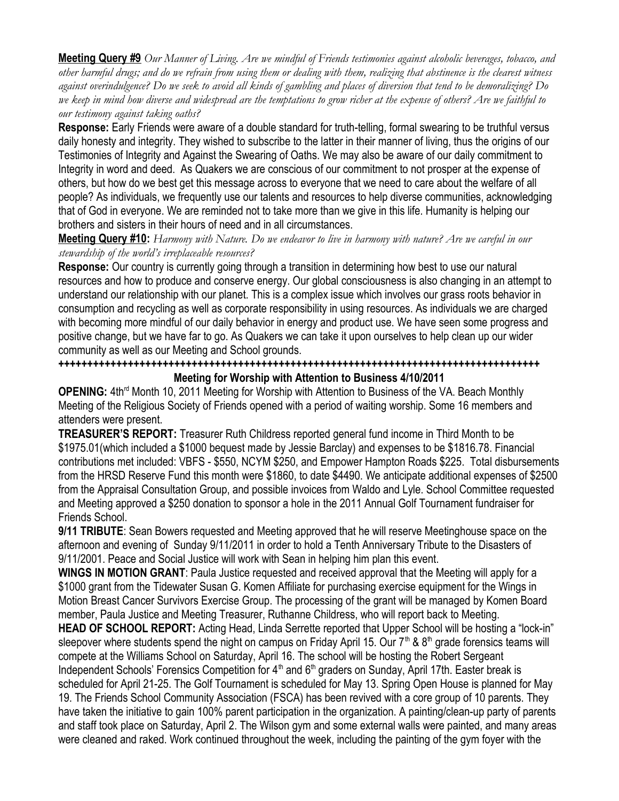**Meeting Query #9** *Our Manner of Living. Are we mindful of Friends testimonies against alcoholic beverages, tobacco, and other harmful drugs; and do we refrain from using them or dealing with them, realizing that abstinence is the clearest witness against overindulgence? Do we seek to avoid all kinds of gambling and places of diversion that tend to be demoralizing? Do we keep in mind how diverse and widespread are the temptations to grow richer at the expense of others? Are we faithful to our testimony against taking oaths?*

**Response:** Early Friends were aware of a double standard for truth-telling, formal swearing to be truthful versus daily honesty and integrity. They wished to subscribe to the latter in their manner of living, thus the origins of our Testimonies of Integrity and Against the Swearing of Oaths. We may also be aware of our daily commitment to Integrity in word and deed. As Quakers we are conscious of our commitment to not prosper at the expense of others, but how do we best get this message across to everyone that we need to care about the welfare of all people? As individuals, we frequently use our talents and resources to help diverse communities, acknowledging that of God in everyone. We are reminded not to take more than we give in this life. Humanity is helping our brothers and sisters in their hours of need and in all circumstances.

**Meeting Query #10:** *Harmony with Nature. Do we endeavor to live in harmony with nature? Are we careful in our stewardship of the world's irreplaceable resources?*

**Response:** Our country is currently going through a transition in determining how best to use our natural resources and how to produce and conserve energy. Our global consciousness is also changing in an attempt to understand our relationship with our planet. This is a complex issue which involves our grass roots behavior in consumption and recycling as well as corporate responsibility in using resources. As individuals we are charged with becoming more mindful of our daily behavior in energy and product use. We have seen some progress and positive change, but we have far to go. As Quakers we can take it upon ourselves to help clean up our wider community as well as our Meeting and School grounds.

**+++++++++++++++++++++++++++++++++++++++++++++++++++++++++++++++++++++++++++++++++++ Meeting for Worship with Attention to Business 4/10/2011**

**OPENING:** 4th<sup>rd</sup> Month 10, 2011 Meeting for Worship with Attention to Business of the VA. Beach Monthly Meeting of the Religious Society of Friends opened with a period of waiting worship. Some 16 members and attenders were present.

**TREASURER'S REPORT:** Treasurer Ruth Childress reported general fund income in Third Month to be \$1975.01(which included a \$1000 bequest made by Jessie Barclay) and expenses to be \$1816.78. Financial contributions met included: VBFS - \$550, NCYM \$250, and Empower Hampton Roads \$225. Total disbursements from the HRSD Reserve Fund this month were \$1860, to date \$4490. We anticipate additional expenses of \$2500 from the Appraisal Consultation Group, and possible invoices from Waldo and Lyle. School Committee requested and Meeting approved a \$250 donation to sponsor a hole in the 2011 Annual Golf Tournament fundraiser for Friends School.

**9/11 TRIBUTE**: Sean Bowers requested and Meeting approved that he will reserve Meetinghouse space on the afternoon and evening of Sunday 9/11/2011 in order to hold a Tenth Anniversary Tribute to the Disasters of 9/11/2001. Peace and Social Justice will work with Sean in helping him plan this event.

**WINGS IN MOTION GRANT**: Paula Justice requested and received approval that the Meeting will apply for a \$1000 grant from the Tidewater Susan G. Komen Affiliate for purchasing exercise equipment for the Wings in Motion Breast Cancer Survivors Exercise Group. The processing of the grant will be managed by Komen Board member, Paula Justice and Meeting Treasurer, Ruthanne Childress, who will report back to Meeting.

**HEAD OF SCHOOL REPORT:** Acting Head, Linda Serrette reported that Upper School will be hosting a "lock-in" sleepover where students spend the night on campus on Friday April 15. Our  $7<sup>th</sup>$  &  $8<sup>th</sup>$  grade forensics teams will compete at the Williams School on Saturday, April 16. The school will be hosting the Robert Sergeant Independent Schools' Forensics Competition for 4<sup>th</sup> and 6<sup>th</sup> graders on Sunday, April 17th. Easter break is scheduled for April 21-25. The Golf Tournament is scheduled for May 13. Spring Open House is planned for May 19. The Friends School Community Association (FSCA) has been revived with a core group of 10 parents. They have taken the initiative to gain 100% parent participation in the organization. A painting/clean-up party of parents and staff took place on Saturday, April 2. The Wilson gym and some external walls were painted, and many areas were cleaned and raked. Work continued throughout the week, including the painting of the gym foyer with the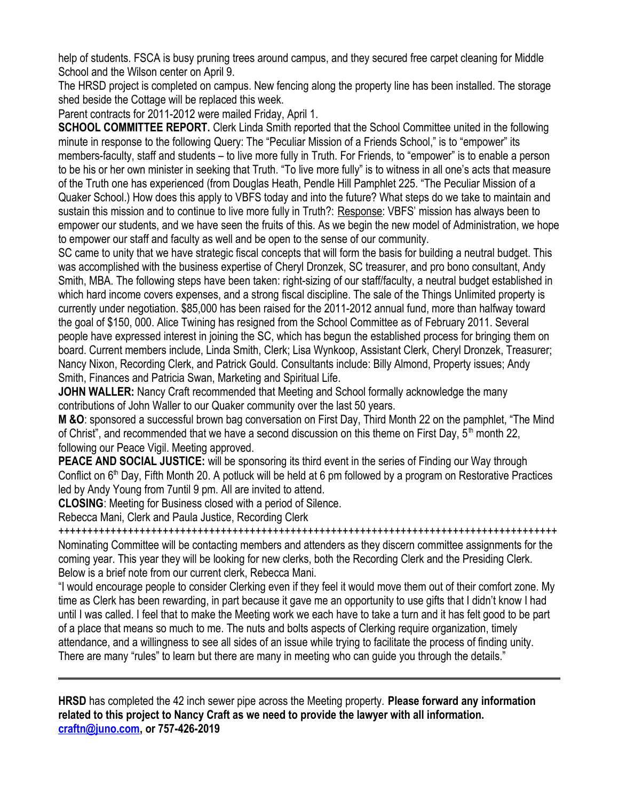help of students. FSCA is busy pruning trees around campus, and they secured free carpet cleaning for Middle School and the Wilson center on April 9.

The HRSD project is completed on campus. New fencing along the property line has been installed. The storage shed beside the Cottage will be replaced this week.

Parent contracts for 2011-2012 were mailed Friday, April 1.

**SCHOOL COMMITTEE REPORT.** Clerk Linda Smith reported that the School Committee united in the following minute in response to the following Query: The "Peculiar Mission of a Friends School," is to "empower" its members-faculty, staff and students – to live more fully in Truth. For Friends, to "empower" is to enable a person to be his or her own minister in seeking that Truth. "To live more fully" is to witness in all one's acts that measure of the Truth one has experienced (from Douglas Heath, Pendle Hill Pamphlet 225. "The Peculiar Mission of a Quaker School.) How does this apply to VBFS today and into the future? What steps do we take to maintain and sustain this mission and to continue to live more fully in Truth?: Response: VBFS' mission has always been to empower our students, and we have seen the fruits of this. As we begin the new model of Administration, we hope to empower our staff and faculty as well and be open to the sense of our community.

SC came to unity that we have strategic fiscal concepts that will form the basis for building a neutral budget. This was accomplished with the business expertise of Cheryl Dronzek, SC treasurer, and pro bono consultant, Andy Smith, MBA. The following steps have been taken: right-sizing of our staff/faculty, a neutral budget established in which hard income covers expenses, and a strong fiscal discipline. The sale of the Things Unlimited property is currently under negotiation. \$85,000 has been raised for the 2011-2012 annual fund, more than halfway toward the goal of \$150, 000. Alice Twining has resigned from the School Committee as of February 2011. Several people have expressed interest in joining the SC, which has begun the established process for bringing them on board. Current members include, Linda Smith, Clerk; Lisa Wynkoop, Assistant Clerk, Cheryl Dronzek, Treasurer; Nancy Nixon, Recording Clerk, and Patrick Gould. Consultants include: Billy Almond, Property issues; Andy Smith, Finances and Patricia Swan, Marketing and Spiritual Life.

**JOHN WALLER:** Nancy Craft recommended that Meeting and School formally acknowledge the many contributions of John Waller to our Quaker community over the last 50 years.

**M &O**: sponsored a successful brown bag conversation on First Day, Third Month 22 on the pamphlet, "The Mind of Christ", and recommended that we have a second discussion on this theme on First Day,  $5<sup>th</sup>$  month 22, following our Peace Vigil. Meeting approved.

**PEACE AND SOCIAL JUSTICE:** will be sponsoring its third event in the series of Finding our Way through Conflict on 6<sup>th</sup> Day, Fifth Month 20. A potluck will be held at 6 pm followed by a program on Restorative Practices led by Andy Young from 7until 9 pm. All are invited to attend.

**CLOSING**: Meeting for Business closed with a period of Silence.

Rebecca Mani, Clerk and Paula Justice, Recording Clerk

++++++++++++++++++++++++++++++++++++++++++++++++++++++++++++++++++++++++++++++++++++++ Nominating Committee will be contacting members and attenders as they discern committee assignments for the coming year. This year they will be looking for new clerks, both the Recording Clerk and the Presiding Clerk. Below is a brief note from our current clerk, Rebecca Mani.

"I would encourage people to consider Clerking even if they feel it would move them out of their comfort zone. My time as Clerk has been rewarding, in part because it gave me an opportunity to use gifts that I didn't know I had until I was called. I feel that to make the Meeting work we each have to take a turn and it has felt good to be part of a place that means so much to me. The nuts and bolts aspects of Clerking require organization, timely attendance, and a willingness to see all sides of an issue while trying to facilitate the process of finding unity. There are many "rules" to learn but there are many in meeting who can guide you through the details."

**HRSD** has completed the 42 inch sewer pipe across the Meeting property. **Please forward any information related to this project to Nancy Craft as we need to provide the lawyer with all information. [craftn@juno.com](mailto:craftn@juno.com), or 757-426-2019**